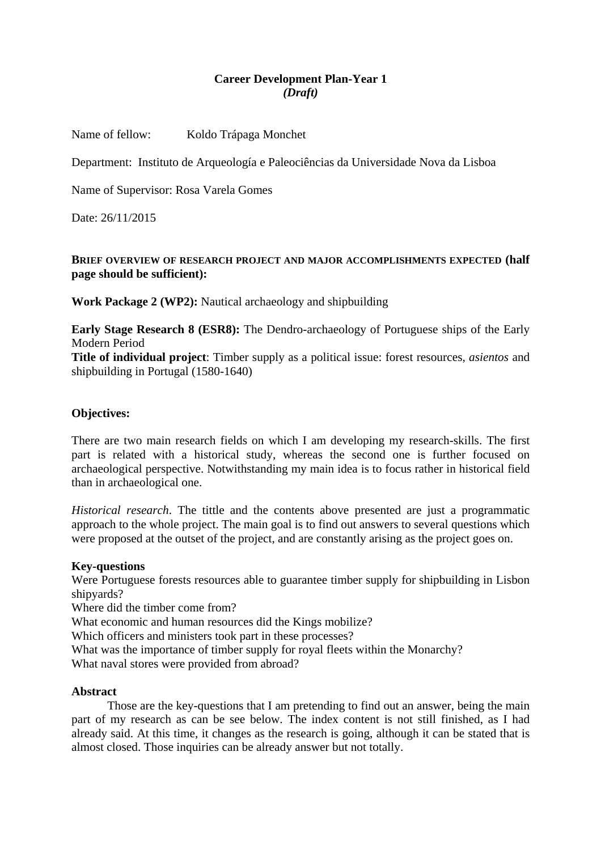# **Career Development Plan-Year 1**  *(Draft)*

Name of fellow: Koldo Trápaga Monchet

Department: Instituto de Arqueología e Paleociências da Universidade Nova da Lisboa

Name of Supervisor: Rosa Varela Gomes

Date: 26/11/2015

### **BRIEF OVERVIEW OF RESEARCH PROJECT AND MAJOR ACCOMPLISHMENTS EXPECTED (half page should be sufficient):**

**Work Package 2 (WP2):** Nautical archaeology and shipbuilding

**Early Stage Research 8 (ESR8):** The Dendro-archaeology of Portuguese ships of the Early Modern Period

**Title of individual project**: Timber supply as a political issue: forest resources, *asientos* and shipbuilding in Portugal (1580-1640)

# **Objectives:**

There are two main research fields on which I am developing my research-skills. The first part is related with a historical study, whereas the second one is further focused on archaeological perspective. Notwithstanding my main idea is to focus rather in historical field than in archaeological one.

*Historical research*. The tittle and the contents above presented are just a programmatic approach to the whole project. The main goal is to find out answers to several questions which were proposed at the outset of the project, and are constantly arising as the project goes on.

#### **Key-questions**

Were Portuguese forests resources able to guarantee timber supply for shipbuilding in Lisbon shipyards?

Where did the timber come from?

What economic and human resources did the Kings mobilize?

Which officers and ministers took part in these processes?

What was the importance of timber supply for royal fleets within the Monarchy?

What naval stores were provided from abroad?

#### **Abstract**

Those are the key-questions that I am pretending to find out an answer, being the main part of my research as can be see below. The index content is not still finished, as I had already said. At this time, it changes as the research is going, although it can be stated that is almost closed. Those inquiries can be already answer but not totally.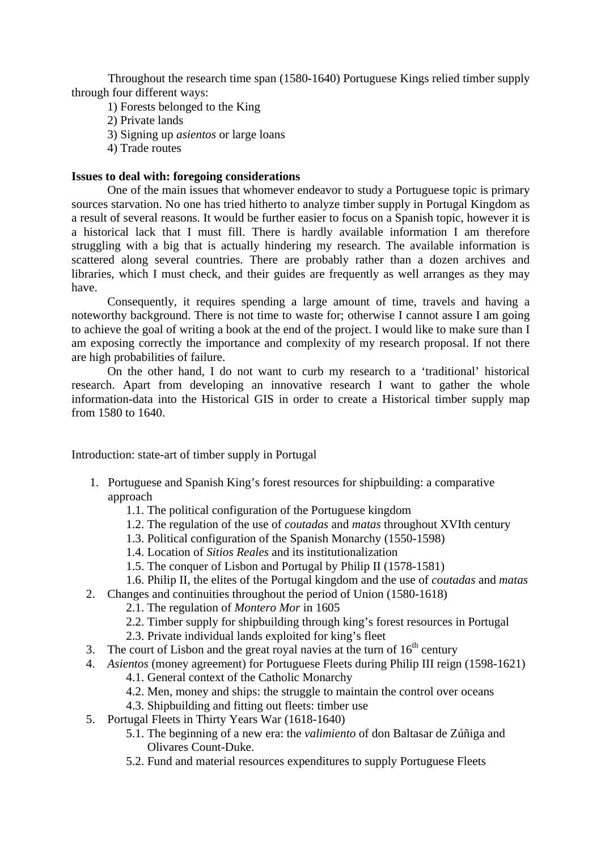Throughout the research time span (1580-1640) Portuguese Kings relied timber supply through four different ways:

- 1) Forests belonged to the King
- 2) Private lands
- 3) Signing up *asientos* or large loans
- 4) Trade routes

### **Issues to deal with: foregoing considerations**

One of the main issues that whomever endeavor to study a Portuguese topic is primary sources starvation. No one has tried hitherto to analyze timber supply in Portugal Kingdom as a result of several reasons. It would be further easier to focus on a Spanish topic, however it is a historical lack that I must fill. There is hardly available information I am therefore struggling with a big that is actually hindering my research. The available information is scattered along several countries. There are probably rather than a dozen archives and libraries, which I must check, and their guides are frequently as well arranges as they may have.

Consequently, it requires spending a large amount of time, travels and having a noteworthy background. There is not time to waste for; otherwise I cannot assure I am going to achieve the goal of writing a book at the end of the project. I would like to make sure than I am exposing correctly the importance and complexity of my research proposal. If not there are high probabilities of failure.

On the other hand, I do not want to curb my research to a 'traditional' historical research. Apart from developing an innovative research I want to gather the whole information-data into the Historical GIS in order to create a Historical timber supply map from 1580 to 1640.

Introduction: state-art of timber supply in Portugal

- 1. Portuguese and Spanish King's forest resources for shipbuilding: a comparative approach
	- 1.1. The political configuration of the Portuguese kingdom
	- 1.2. The regulation of the use of *coutadas* and *matas* throughout XVIth century
	- 1.3. Political configuration of the Spanish Monarchy (1550-1598)
	- 1.4. Location of *Sitios Reales* and its institutionalization
	- 1.5. The conquer of Lisbon and Portugal by Philip II (1578-1581)
	- 1.6. Philip II, the elites of the Portugal kingdom and the use of *coutadas* and *matas*
- 2. Changes and continuities throughout the period of Union (1580-1618)
	- 2.1. The regulation of *Montero Mor* in 1605
	- 2.2. Timber supply for shipbuilding through king's forest resources in Portugal
	- 2.3. Private individual lands exploited for king's fleet
- 3. The court of Lisbon and the great royal navies at the turn of  $16<sup>th</sup>$  century
- 4. *Asientos* (money agreement) for Portuguese Fleets during Philip III reign (1598-1621)
	- 4.1. General context of the Catholic Monarchy
	- 4.2. Men, money and ships: the struggle to maintain the control over oceans
	- 4.3. Shipbuilding and fitting out fleets: timber use
- 5. Portugal Fleets in Thirty Years War (1618-1640)
	- 5.1. The beginning of a new era: the *valimiento* of don Baltasar de Zúñiga and Olivares Count-Duke.
	- 5.2. Fund and material resources expenditures to supply Portuguese Fleets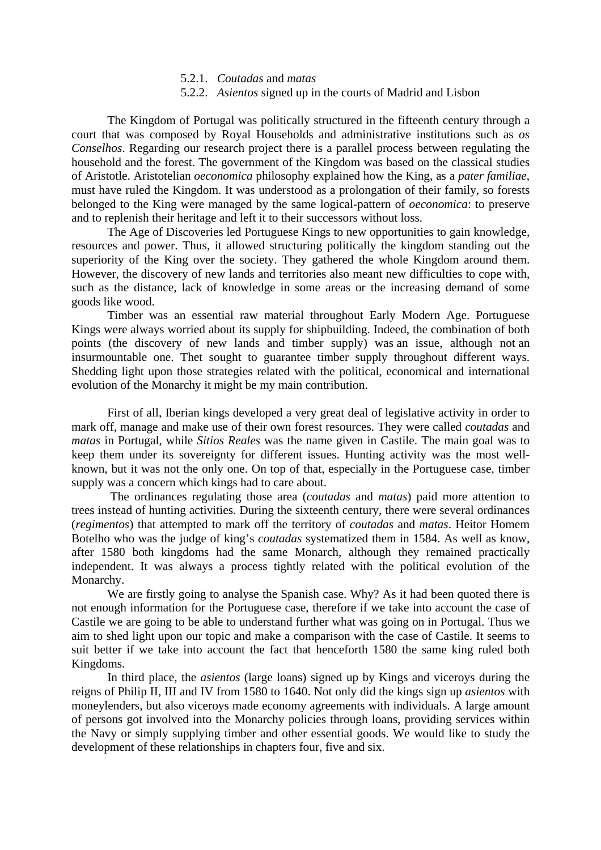- 5.2.1. *Coutadas* and *matas*
- 5.2.2. *Asientos* signed up in the courts of Madrid and Lisbon

The Kingdom of Portugal was politically structured in the fifteenth century through a court that was composed by Royal Households and administrative institutions such as *os Conselhos*. Regarding our research project there is a parallel process between regulating the household and the forest. The government of the Kingdom was based on the classical studies of Aristotle. Aristotelian *oeconomica* philosophy explained how the King, as a *pater familiae*, must have ruled the Kingdom. It was understood as a prolongation of their family, so forests belonged to the King were managed by the same logical-pattern of *oeconomica*: to preserve and to replenish their heritage and left it to their successors without loss.

The Age of Discoveries led Portuguese Kings to new opportunities to gain knowledge, resources and power. Thus, it allowed structuring politically the kingdom standing out the superiority of the King over the society. They gathered the whole Kingdom around them. However, the discovery of new lands and territories also meant new difficulties to cope with, such as the distance, lack of knowledge in some areas or the increasing demand of some goods like wood.

Timber was an essential raw material throughout Early Modern Age. Portuguese Kings were always worried about its supply for shipbuilding. Indeed, the combination of both points (the discovery of new lands and timber supply) was an issue, although not an insurmountable one. Thet sought to guarantee timber supply throughout different ways. Shedding light upon those strategies related with the political, economical and international evolution of the Monarchy it might be my main contribution.

First of all, Iberian kings developed a very great deal of legislative activity in order to mark off, manage and make use of their own forest resources. They were called *coutadas* and *matas* in Portugal, while *Sitios Reales* was the name given in Castile. The main goal was to keep them under its sovereignty for different issues. Hunting activity was the most wellknown, but it was not the only one. On top of that, especially in the Portuguese case, timber supply was a concern which kings had to care about.

 The ordinances regulating those area (*coutadas* and *matas*) paid more attention to trees instead of hunting activities. During the sixteenth century, there were several ordinances (*regimentos*) that attempted to mark off the territory of *coutadas* and *matas*. Heitor Homem Botelho who was the judge of king's *coutadas* systematized them in 1584. As well as know, after 1580 both kingdoms had the same Monarch, although they remained practically independent. It was always a process tightly related with the political evolution of the Monarchy.

We are firstly going to analyse the Spanish case. Why? As it had been quoted there is not enough information for the Portuguese case, therefore if we take into account the case of Castile we are going to be able to understand further what was going on in Portugal. Thus we aim to shed light upon our topic and make a comparison with the case of Castile. It seems to suit better if we take into account the fact that henceforth 1580 the same king ruled both Kingdoms.

In third place, the *asientos* (large loans) signed up by Kings and viceroys during the reigns of Philip II, III and IV from 1580 to 1640. Not only did the kings sign up *asientos* with moneylenders, but also viceroys made economy agreements with individuals. A large amount of persons got involved into the Monarchy policies through loans, providing services within the Navy or simply supplying timber and other essential goods. We would like to study the development of these relationships in chapters four, five and six.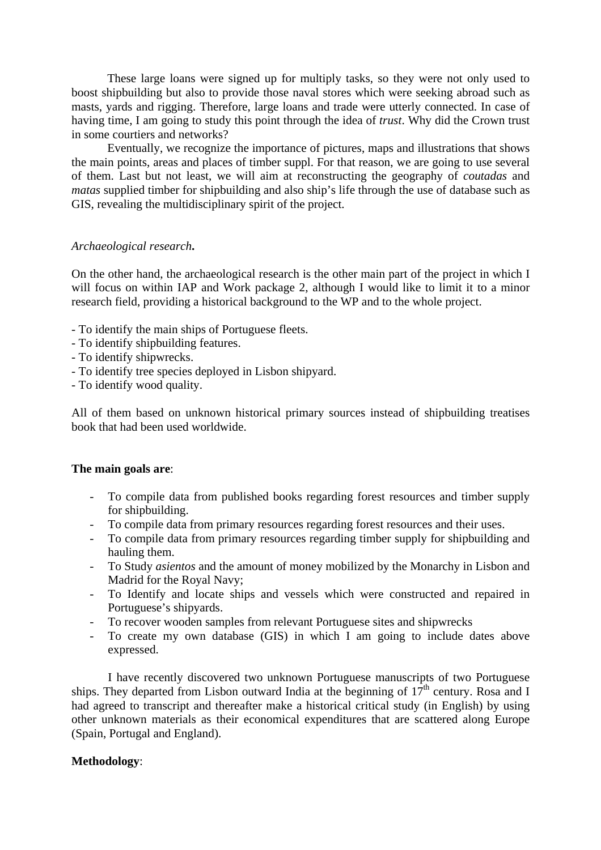These large loans were signed up for multiply tasks, so they were not only used to boost shipbuilding but also to provide those naval stores which were seeking abroad such as masts, yards and rigging. Therefore, large loans and trade were utterly connected. In case of having time, I am going to study this point through the idea of *trust*. Why did the Crown trust in some courtiers and networks?

Eventually, we recognize the importance of pictures, maps and illustrations that shows the main points, areas and places of timber suppl. For that reason, we are going to use several of them. Last but not least, we will aim at reconstructing the geography of *coutadas* and *matas* supplied timber for shipbuilding and also ship's life through the use of database such as GIS, revealing the multidisciplinary spirit of the project.

#### *Archaeological research***.**

On the other hand, the archaeological research is the other main part of the project in which I will focus on within IAP and Work package 2, although I would like to limit it to a minor research field, providing a historical background to the WP and to the whole project.

- To identify the main ships of Portuguese fleets.
- To identify shipbuilding features.
- To identify shipwrecks.
- To identify tree species deployed in Lisbon shipyard.
- To identify wood quality.

All of them based on unknown historical primary sources instead of shipbuilding treatises book that had been used worldwide.

#### **The main goals are**:

- To compile data from published books regarding forest resources and timber supply for shipbuilding.
- To compile data from primary resources regarding forest resources and their uses.
- To compile data from primary resources regarding timber supply for shipbuilding and hauling them.
- To Study *asientos* and the amount of money mobilized by the Monarchy in Lisbon and Madrid for the Royal Navy;
- To Identify and locate ships and vessels which were constructed and repaired in Portuguese's shipyards.
- To recover wooden samples from relevant Portuguese sites and shipwrecks
- To create my own database (GIS) in which I am going to include dates above expressed.

I have recently discovered two unknown Portuguese manuscripts of two Portuguese ships. They departed from Lisbon outward India at the beginning of  $17<sup>th</sup>$  century. Rosa and I had agreed to transcript and thereafter make a historical critical study (in English) by using other unknown materials as their economical expenditures that are scattered along Europe (Spain, Portugal and England).

#### **Methodology**: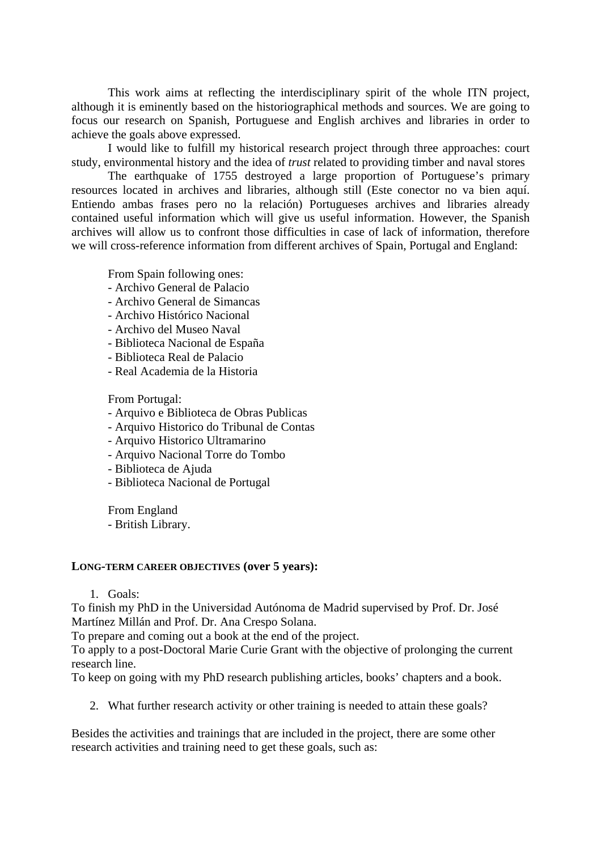This work aims at reflecting the interdisciplinary spirit of the whole ITN project, although it is eminently based on the historiographical methods and sources. We are going to focus our research on Spanish, Portuguese and English archives and libraries in order to achieve the goals above expressed.

I would like to fulfill my historical research project through three approaches: court study, environmental history and the idea of *trust* related to providing timber and naval stores

The earthquake of 1755 destroyed a large proportion of Portuguese's primary resources located in archives and libraries, although still (Este conector no va bien aquí. Entiendo ambas frases pero no la relación) Portugueses archives and libraries already contained useful information which will give us useful information. However, the Spanish archives will allow us to confront those difficulties in case of lack of information, therefore we will cross-reference information from different archives of Spain, Portugal and England:

From Spain following ones:

- Archivo General de Palacio
- Archivo General de Simancas
- Archivo Histórico Nacional
- Archivo del Museo Naval
- Biblioteca Nacional de España
- Biblioteca Real de Palacio
- Real Academia de la Historia

From Portugal:

- Arquivo e Biblioteca de Obras Publicas
- Arquivo Historico do Tribunal de Contas
- Arquivo Historico Ultramarino
- Arquivo Nacional Torre do Tombo
- Biblioteca de Ajuda
- Biblioteca Nacional de Portugal

From England

- British Library.

#### **LONG-TERM CAREER OBJECTIVES (over 5 years):**

1. Goals:

To finish my PhD in the Universidad Autónoma de Madrid supervised by Prof. Dr. José Martínez Millán and Prof. Dr. Ana Crespo Solana.

To prepare and coming out a book at the end of the project.

To apply to a post-Doctoral Marie Curie Grant with the objective of prolonging the current research line.

To keep on going with my PhD research publishing articles, books' chapters and a book.

2. What further research activity or other training is needed to attain these goals?

Besides the activities and trainings that are included in the project, there are some other research activities and training need to get these goals, such as: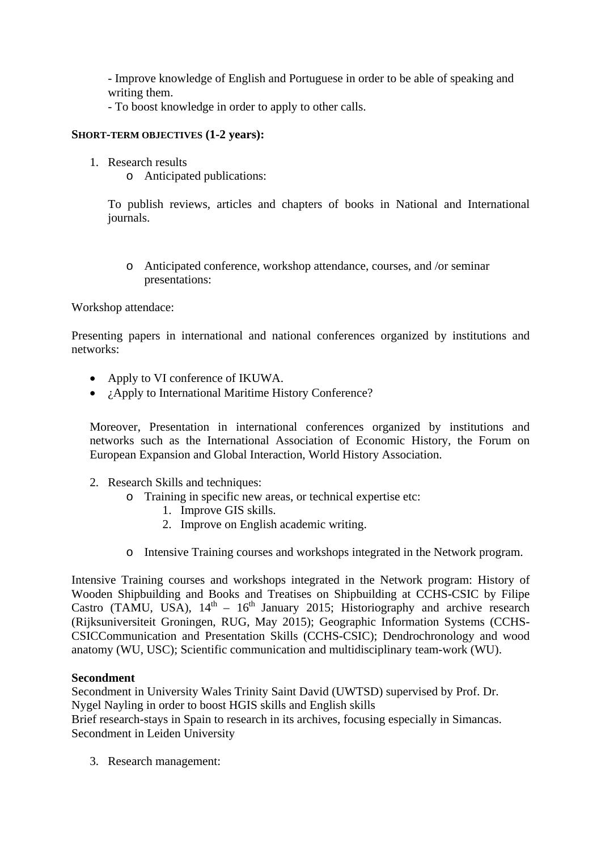- Improve knowledge of English and Portuguese in order to be able of speaking and writing them.

- To boost knowledge in order to apply to other calls.

# **SHORT-TERM OBJECTIVES (1-2 years):**

- 1. Research results
	- o Anticipated publications:

To publish reviews, articles and chapters of books in National and International journals.

o Anticipated conference, workshop attendance, courses, and /or seminar presentations:

Workshop attendace:

Presenting papers in international and national conferences organized by institutions and networks:

- Apply to VI conference of IKUWA.
- *i* Apply to International Maritime History Conference?

Moreover, Presentation in international conferences organized by institutions and networks such as the International Association of Economic History, the Forum on European Expansion and Global Interaction, World History Association.

- 2. Research Skills and techniques:
	- o Training in specific new areas, or technical expertise etc:
		- 1. Improve GIS skills.
		- 2. Improve on English academic writing.
	- o Intensive Training courses and workshops integrated in the Network program.

Intensive Training courses and workshops integrated in the Network program: History of Wooden Shipbuilding and Books and Treatises on Shipbuilding at CCHS-CSIC by Filipe Castro (TAMU, USA),  $14<sup>th</sup> - 16<sup>th</sup>$  January 2015; Historiography and archive research (Rijksuniversiteit Groningen, RUG, May 2015); Geographic Information Systems (CCHS-CSICCommunication and Presentation Skills (CCHS-CSIC); Dendrochronology and wood anatomy (WU, USC); Scientific communication and multidisciplinary team-work (WU).

#### **Secondment**

Secondment in University Wales Trinity Saint David (UWTSD) supervised by Prof. Dr. Nygel Nayling in order to boost HGIS skills and English skills

Brief research-stays in Spain to research in its archives, focusing especially in Simancas. Secondment in Leiden University

3. Research management: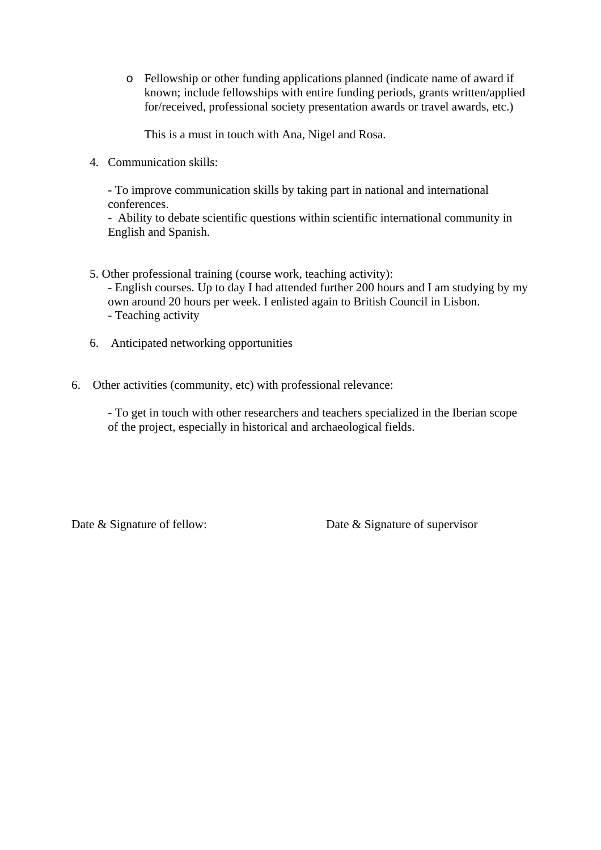o Fellowship or other funding applications planned (indicate name of award if known; include fellowships with entire funding periods, grants written/applied for/received, professional society presentation awards or travel awards, etc.)

This is a must in touch with Ana, Nigel and Rosa.

4. Communication skills:

- To improve communication skills by taking part in national and international conferences.

- Ability to debate scientific questions within scientific international community in English and Spanish.

5. Other professional training (course work, teaching activity):

- English courses. Up to day I had attended further 200 hours and I am studying by my own around 20 hours per week. I enlisted again to British Council in Lisbon. - Teaching activity

- 6. Anticipated networking opportunities
- 6. Other activities (community, etc) with professional relevance:

- To get in touch with other researchers and teachers specialized in the Iberian scope of the project, especially in historical and archaeological fields.

Date & Signature of fellow: Date & Signature of supervisor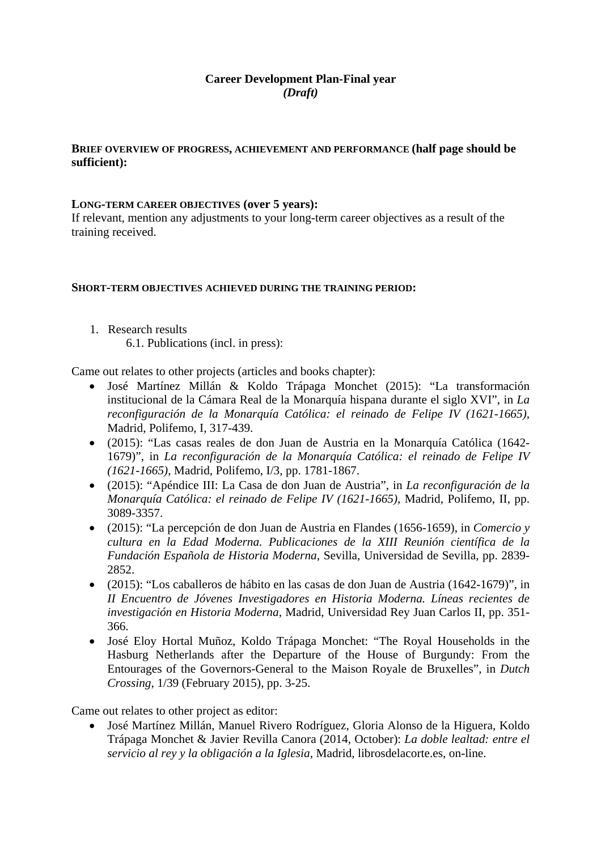# **Career Development Plan-Final year**  *(Draft)*

# **BRIEF OVERVIEW OF PROGRESS, ACHIEVEMENT AND PERFORMANCE (half page should be sufficient):**

#### **LONG-TERM CAREER OBJECTIVES (over 5 years):**

If relevant, mention any adjustments to your long-term career objectives as a result of the training received.

#### **SHORT-TERM OBJECTIVES ACHIEVED DURING THE TRAINING PERIOD:**

1. Research results

6.1. Publications (incl. in press):

Came out relates to other projects (articles and books chapter):

- José Martínez Millán & Koldo Trápaga Monchet (2015): "La transformación institucional de la Cámara Real de la Monarquía hispana durante el siglo XVI", in *La reconfiguración de la Monarquía Católica: el reinado de Felipe IV (1621-1665)*, Madrid, Polifemo, I, 317-439.
- (2015): "Las casas reales de don Juan de Austria en la Monarquía Católica (1642- 1679)", in *La reconfiguración de la Monarquía Católica: el reinado de Felipe IV (1621-1665)*, Madrid, Polifemo, I/3, pp. 1781-1867.
- (2015): "Apéndice III: La Casa de don Juan de Austria", in *La reconfiguración de la Monarquía Católica: el reinado de Felipe IV (1621-1665)*, Madrid, Polifemo, II, pp. 3089-3357.
- (2015): "La percepción de don Juan de Austria en Flandes (1656-1659), in *Comercio y cultura en la Edad Moderna. Publicaciones de la XIII Reunión científica de la Fundación Española de Historia Moderna*, Sevilla, Universidad de Sevilla, pp. 2839- 2852.
- (2015): "Los caballeros de hábito en las casas de don Juan de Austria (1642-1679)", in *II Encuentro de Jóvenes Investigadores en Historia Moderna. Líneas recientes de investigación en Historia Moderna*, Madrid, Universidad Rey Juan Carlos II, pp. 351- 366.
- José Eloy Hortal Muñoz, Koldo Trápaga Monchet: "The Royal Households in the Hasburg Netherlands after the Departure of the House of Burgundy: From the Entourages of the Governors-General to the Maison Royale de Bruxelles", in *Dutch Crossing*, 1/39 (February 2015), pp. 3-25.

Came out relates to other project as editor:

• José Martínez Millán, Manuel Rivero Rodríguez, Gloria Alonso de la Higuera, Koldo Trápaga Monchet & Javier Revilla Canora (2014, October): *La doble lealtad: entre el servicio al rey y la obligación a la Iglesia*, Madrid, librosdelacorte.es, on-line.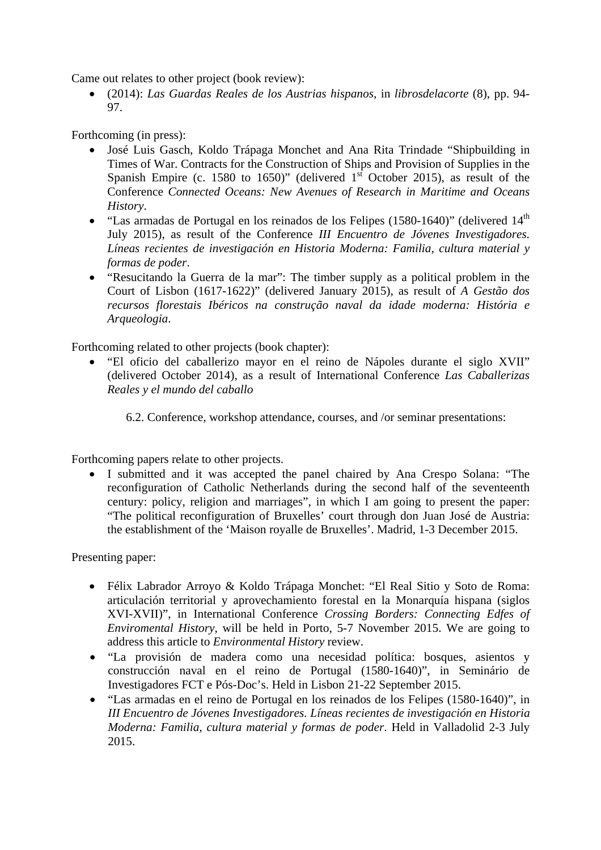Came out relates to other project (book review):

• (2014): *Las Guardas Reales de los Austrias hispanos*, in *librosdelacorte* (8), pp. 94- 97.

Forthcoming (in press):

- José Luis Gasch, Koldo Trápaga Monchet and Ana Rita Trindade "Shipbuilding in Times of War. Contracts for the Construction of Ships and Provision of Supplies in the Spanish Empire (c. 1580 to 1650)" (delivered  $1<sup>st</sup>$  October 2015), as result of the Conference *Connected Oceans: New Avenues of Research in Maritime and Oceans History*.
- "Las armadas de Portugal en los reinados de los Felipes (1580-1640)" (delivered 14<sup>th</sup> July 2015), as result of the Conference *III Encuentro de Jóvenes Investigadores. Líneas recientes de investigación en Historia Moderna: Familia, cultura material y formas de poder*.
- "Resucitando la Guerra de la mar": The timber supply as a political problem in the Court of Lisbon (1617-1622)" (delivered January 2015), as result of *A Gestão dos recursos florestais Ibéricos na construção naval da idade moderna: História e Arqueologia*.

Forthcoming related to other projects (book chapter):

- "El oficio del caballerizo mayor en el reino de Nápoles durante el siglo XVII" (delivered October 2014), as a result of International Conference *Las Caballerizas Reales y el mundo del caballo*
	- 6.2. Conference, workshop attendance, courses, and /or seminar presentations:

Forthcoming papers relate to other projects.

I submitted and it was accepted the panel chaired by Ana Crespo Solana: "The reconfiguration of Catholic Netherlands during the second half of the seventeenth century: policy, religion and marriages", in which I am going to present the paper: "The political reconfiguration of Bruxelles' court through don Juan José de Austria: the establishment of the 'Maison royalle de Bruxelles'. Madrid, 1-3 December 2015.

Presenting paper:

- Félix Labrador Arroyo & Koldo Trápaga Monchet: "El Real Sitio y Soto de Roma: articulación territorial y aprovechamiento forestal en la Monarquía hispana (siglos XVI-XVII)", in International Conference *Crossing Borders: Connecting Edfes of Enviromental History*, will be held in Porto, 5-7 November 2015. We are going to address this article to *Environmental History* review.
- "La provisión de madera como una necesidad política: bosques, asientos y construcción naval en el reino de Portugal (1580-1640)", in Seminário de Investigadores FCT e Pós-Doc's. Held in Lisbon 21-22 September 2015.
- "Las armadas en el reino de Portugal en los reinados de los Felipes (1580-1640)", in *III Encuentro de Jóvenes Investigadores. Líneas recientes de investigación en Historia Moderna: Familia, cultura material y formas de poder*. Held in Valladolid 2-3 July 2015.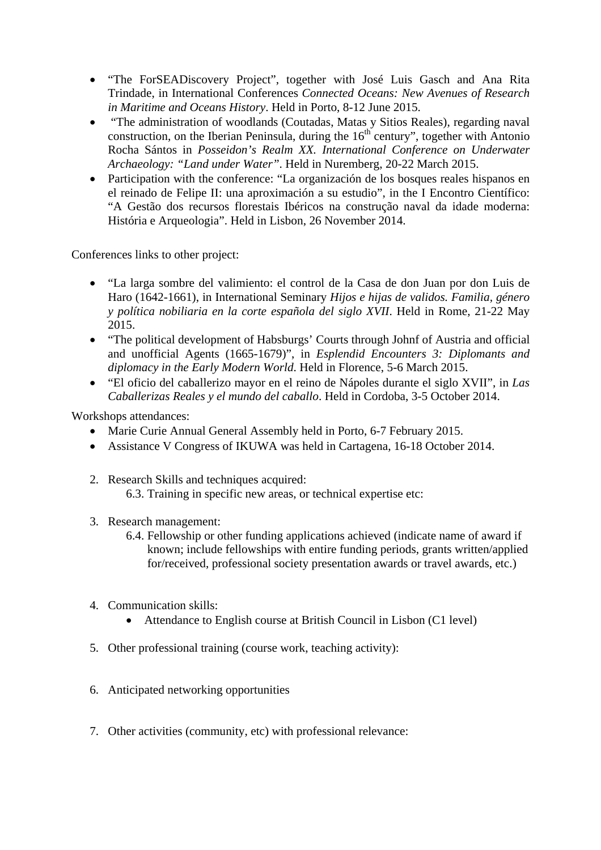- "The ForSEADiscovery Project", together with José Luis Gasch and Ana Rita Trindade, in International Conferences *Connected Oceans: New Avenues of Research in Maritime and Oceans History*. Held in Porto, 8-12 June 2015.
- "The administration of woodlands (Coutadas, Matas y Sitios Reales), regarding naval construction, on the Iberian Peninsula, during the  $16<sup>th</sup>$  century", together with Antonio Rocha Sántos in *Posseidon's Realm XX. International Conference on Underwater Archaeology: "Land under Water"*. Held in Nuremberg, 20-22 March 2015.
- Participation with the conference: "La organización de los bosques reales hispanos en el reinado de Felipe II: una aproximación a su estudio", in the I Encontro Científico: "A Gestão dos recursos florestais Ibéricos na construção naval da idade moderna: História e Arqueologia". Held in Lisbon, 26 November 2014.

Conferences links to other project:

- "La larga sombre del valimiento: el control de la Casa de don Juan por don Luis de Haro (1642-1661), in International Seminary *Hijos e hijas de validos. Familia, género y política nobiliaria en la corte española del siglo XVII*. Held in Rome, 21-22 May 2015.
- "The political development of Habsburgs' Courts through Johnf of Austria and official and unofficial Agents (1665-1679)", in *Esplendid Encounters 3: Diplomants and diplomacy in the Early Modern World*. Held in Florence, 5-6 March 2015.
- "El oficio del caballerizo mayor en el reino de Nápoles durante el siglo XVII", in *Las Caballerizas Reales y el mundo del caballo*. Held in Cordoba, 3-5 October 2014.

Workshops attendances:

- Marie Curie Annual General Assembly held in Porto, 6-7 February 2015.
- Assistance V Congress of IKUWA was held in Cartagena, 16-18 October 2014.
- 2. Research Skills and techniques acquired: 6.3. Training in specific new areas, or technical expertise etc:
- 3. Research management:
	- 6.4. Fellowship or other funding applications achieved (indicate name of award if known; include fellowships with entire funding periods, grants written/applied for/received, professional society presentation awards or travel awards, etc.)
- 4. Communication skills:
	- Attendance to English course at British Council in Lisbon (C1 level)
- 5. Other professional training (course work, teaching activity):
- 6. Anticipated networking opportunities
- 7. Other activities (community, etc) with professional relevance: